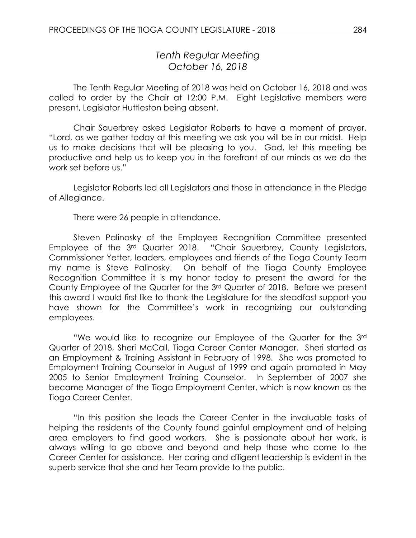# *Tenth Regular Meeting October 16, 2018*

The Tenth Regular Meeting of 2018 was held on October 16, 2018 and was called to order by the Chair at 12:00 P.M. Eight Legislative members were present, Legislator Huttleston being absent.

Chair Sauerbrey asked Legislator Roberts to have a moment of prayer. "Lord, as we gather today at this meeting we ask you will be in our midst. Help us to make decisions that will be pleasing to you. God, let this meeting be productive and help us to keep you in the forefront of our minds as we do the work set before us."

Legislator Roberts led all Legislators and those in attendance in the Pledge of Allegiance.

There were 26 people in attendance.

Steven Palinosky of the Employee Recognition Committee presented Employee of the 3rd Quarter 2018. "Chair Sauerbrey, County Legislators, Commissioner Yetter, leaders, employees and friends of the Tioga County Team my name is Steve Palinosky. On behalf of the Tioga County Employee Recognition Committee it is my honor today to present the award for the County Employee of the Quarter for the 3rd Quarter of 2018. Before we present this award I would first like to thank the Legislature for the steadfast support you have shown for the Committee's work in recognizing our outstanding employees.

"We would like to recognize our Employee of the Quarter for the 3rd Quarter of 2018, Sheri McCall, Tioga Career Center Manager. Sheri started as an Employment & Training Assistant in February of 1998. She was promoted to Employment Training Counselor in August of 1999 and again promoted in May 2005 to Senior Employment Training Counselor. In September of 2007 she became Manager of the Tioga Employment Center, which is now known as the Tioga Career Center.

"In this position she leads the Career Center in the invaluable tasks of helping the residents of the County found gainful employment and of helping area employers to find good workers. She is passionate about her work, is always willing to go above and beyond and help those who come to the Career Center for assistance. Her caring and diligent leadership is evident in the superb service that she and her Team provide to the public.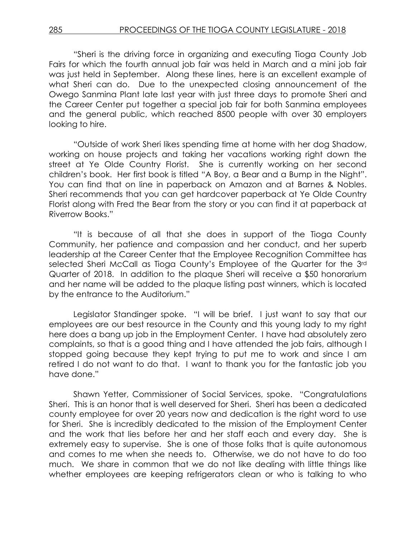"Sheri is the driving force in organizing and executing Tioga County Job Fairs for which the fourth annual job fair was held in March and a mini job fair was just held in September. Along these lines, here is an excellent example of what Sheri can do. Due to the unexpected closing announcement of the Owego Sanmina Plant late last year with just three days to promote Sheri and the Career Center put together a special job fair for both Sanmina employees and the general public, which reached 8500 people with over 30 employers looking to hire.

"Outside of work Sheri likes spending time at home with her dog Shadow, working on house projects and taking her vacations working right down the street at Ye Olde Country Florist. She is currently working on her second children's book. Her first book is titled "A Boy, a Bear and a Bump in the Night". You can find that on line in paperback on Amazon and at Barnes & Nobles. Sheri recommends that you can get hardcover paperback at Ye Olde Country Florist along with Fred the Bear from the story or you can find it at paperback at Riverrow Books."

"It is because of all that she does in support of the Tioga County Community, her patience and compassion and her conduct, and her superb leadership at the Career Center that the Employee Recognition Committee has selected Sheri McCall as Tioga County's Employee of the Quarter for the 3rd Quarter of 2018. In addition to the plaque Sheri will receive a \$50 honorarium and her name will be added to the plaque listing past winners, which is located by the entrance to the Auditorium."

Legislator Standinger spoke. "I will be brief. I just want to say that our employees are our best resource in the County and this young lady to my right here does a bang up job in the Employment Center. I have had absolutely zero complaints, so that is a good thing and I have attended the job fairs, although I stopped going because they kept trying to put me to work and since I am retired I do not want to do that. I want to thank you for the fantastic job you have done."

Shawn Yetter, Commissioner of Social Services, spoke. "Congratulations Sheri. This is an honor that is well deserved for Sheri. Sheri has been a dedicated county employee for over 20 years now and dedication is the right word to use for Sheri. She is incredibly dedicated to the mission of the Employment Center and the work that lies before her and her staff each and every day. She is extremely easy to supervise. She is one of those folks that is quite autonomous and comes to me when she needs to. Otherwise, we do not have to do too much. We share in common that we do not like dealing with little things like whether employees are keeping refrigerators clean or who is talking to who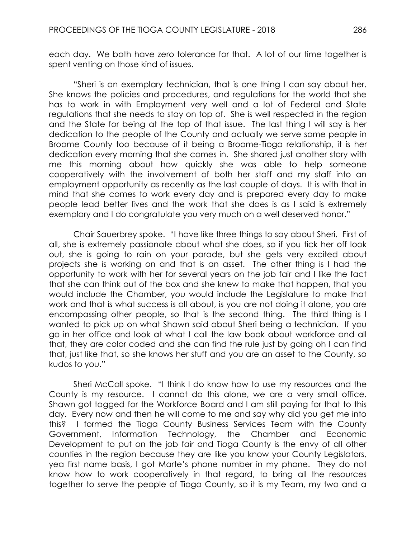each day. We both have zero tolerance for that. A lot of our time together is spent venting on those kind of issues.

"Sheri is an exemplary technician, that is one thing I can say about her. She knows the policies and procedures, and regulations for the world that she has to work in with Employment very well and a lot of Federal and State regulations that she needs to stay on top of. She is well respected in the region and the State for being at the top of that issue. The last thing I will say is her dedication to the people of the County and actually we serve some people in Broome County too because of it being a Broome-Tioga relationship, it is her dedication every morning that she comes in. She shared just another story with me this morning about how quickly she was able to help someone cooperatively with the involvement of both her staff and my staff into an employment opportunity as recently as the last couple of days. It is with that in mind that she comes to work every day and is prepared every day to make people lead better lives and the work that she does is as I said is extremely exemplary and I do congratulate you very much on a well deserved honor."

Chair Sauerbrey spoke. "I have like three things to say about Sheri. First of all, she is extremely passionate about what she does, so if you tick her off look out, she is going to rain on your parade, but she gets very excited about projects she is working on and that is an asset. The other thing is I had the opportunity to work with her for several years on the job fair and I like the fact that she can think out of the box and she knew to make that happen, that you would include the Chamber, you would include the Legislature to make that work and that is what success is all about, is you are not doing it alone, you are encompassing other people, so that is the second thing. The third thing is I wanted to pick up on what Shawn said about Sheri being a technician. If you go in her office and look at what I call the law book about workforce and all that, they are color coded and she can find the rule just by going oh I can find that, just like that, so she knows her stuff and you are an asset to the County, so kudos to you."

Sheri McCall spoke. "I think I do know how to use my resources and the County is my resource. I cannot do this alone, we are a very small office. Shawn got tagged for the Workforce Board and I am still paying for that to this day. Every now and then he will come to me and say why did you get me into this? I formed the Tioga County Business Services Team with the County Government, Information Technology, the Chamber and Economic Development to put on the job fair and Tioga County is the envy of all other counties in the region because they are like you know your County Legislators, yea first name basis, I got Marte's phone number in my phone. They do not know how to work cooperatively in that regard, to bring all the resources together to serve the people of Tioga County, so it is my Team, my two and a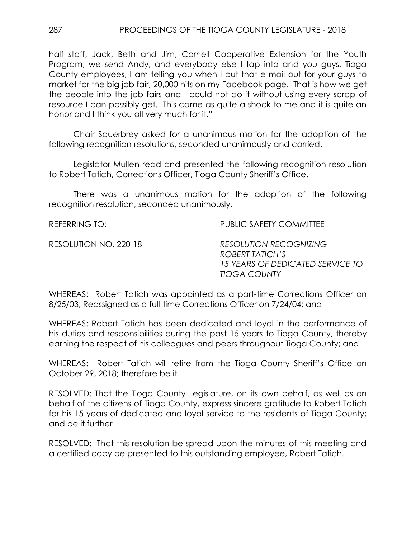half staff, Jack, Beth and Jim, Cornell Cooperative Extension for the Youth Program, we send Andy, and everybody else I tap into and you guys, Tioga County employees, I am telling you when I put that e-mail out for your guys to market for the big job fair, 20,000 hits on my Facebook page. That is how we get the people into the job fairs and I could not do it without using every scrap of resource I can possibly get. This came as quite a shock to me and it is quite an honor and I think you all very much for it."

Chair Sauerbrey asked for a unanimous motion for the adoption of the following recognition resolutions, seconded unanimously and carried.

Legislator Mullen read and presented the following recognition resolution to Robert Tatich, Corrections Officer, Tioga County Sheriff's Office.

There was a unanimous motion for the adoption of the following recognition resolution, seconded unanimously.

REFERRING TO: PUBLIC SAFETY COMMITTEE

RESOLUTION NO. 220-18 *RESOLUTION RECOGNIZING ROBERT TATICH'S 15 YEARS OF DEDICATED SERVICE TO TIOGA COUNTY*

WHEREAS: Robert Tatich was appointed as a part-time Corrections Officer on 8/25/03; Reassigned as a full-time Corrections Officer on 7/24/04; and

WHEREAS: Robert Tatich has been dedicated and loyal in the performance of his duties and responsibilities during the past 15 years to Tioga County, thereby earning the respect of his colleagues and peers throughout Tioga County; and

WHEREAS: Robert Tatich will retire from the Tioga County Sheriff's Office on October 29, 2018; therefore be it

RESOLVED: That the Tioga County Legislature, on its own behalf, as well as on behalf of the citizens of Tioga County, express sincere gratitude to Robert Tatich for his 15 years of dedicated and loyal service to the residents of Tioga County; and be it further

RESOLVED: That this resolution be spread upon the minutes of this meeting and a certified copy be presented to this outstanding employee, Robert Tatich.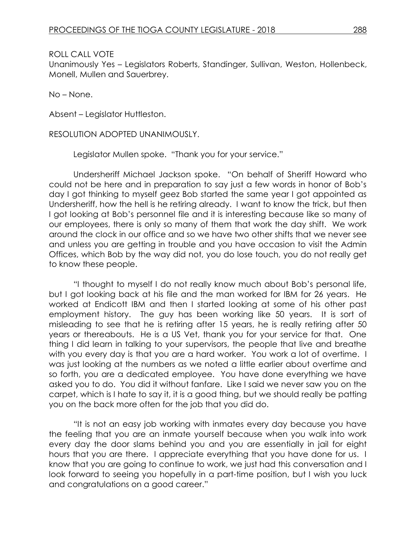Unanimously Yes – Legislators Roberts, Standinger, Sullivan, Weston, Hollenbeck, Monell, Mullen and Sauerbrey.

No – None.

Absent – Legislator Huttleston.

RESOLUTION ADOPTED UNANIMOUSLY.

Legislator Mullen spoke. "Thank you for your service."

Undersheriff Michael Jackson spoke. "On behalf of Sheriff Howard who could not be here and in preparation to say just a few words in honor of Bob's day I got thinking to myself geez Bob started the same year I got appointed as Undersheriff, how the hell is he retiring already. I want to know the trick, but then I got looking at Bob's personnel file and it is interesting because like so many of our employees, there is only so many of them that work the day shift. We work around the clock in our office and so we have two other shifts that we never see and unless you are getting in trouble and you have occasion to visit the Admin Offices, which Bob by the way did not, you do lose touch, you do not really get to know these people.

"I thought to myself I do not really know much about Bob's personal life, but I got looking back at his file and the man worked for IBM for 26 years. He worked at Endicott IBM and then I started looking at some of his other past employment history. The guy has been working like 50 years. It is sort of misleading to see that he is retiring after 15 years, he is really retiring after 50 years or thereabouts. He is a US Vet, thank you for your service for that. One thing I did learn in talking to your supervisors, the people that live and breathe with you every day is that you are a hard worker. You work a lot of overtime. I was just looking at the numbers as we noted a little earlier about overtime and so forth, you are a dedicated employee. You have done everything we have asked you to do. You did it without fanfare. Like I said we never saw you on the carpet, which is I hate to say it, it is a good thing, but we should really be patting you on the back more often for the job that you did do.

"It is not an easy job working with inmates every day because you have the feeling that you are an inmate yourself because when you walk into work every day the door slams behind you and you are essentially in jail for eight hours that you are there. I appreciate everything that you have done for us. I know that you are going to continue to work, we just had this conversation and I look forward to seeing you hopefully in a part-time position, but I wish you luck and congratulations on a good career."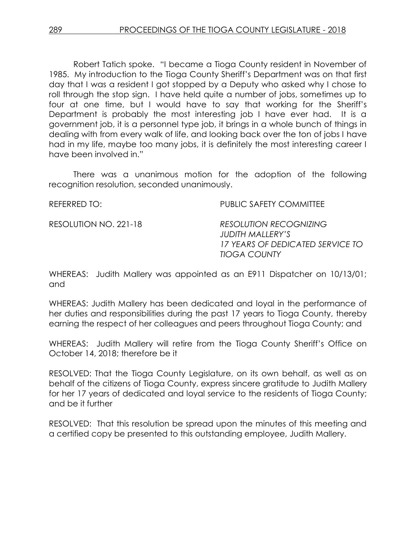Robert Tatich spoke. "I became a Tioga County resident in November of 1985. My introduction to the Tioga County Sheriff's Department was on that first day that I was a resident I got stopped by a Deputy who asked why I chose to roll through the stop sign. I have held quite a number of jobs, sometimes up to four at one time, but I would have to say that working for the Sheriff's Department is probably the most interesting job I have ever had. It is a government job, it is a personnel type job, it brings in a whole bunch of things in dealing with from every walk of life, and looking back over the ton of jobs I have had in my life, maybe too many jobs, it is definitely the most interesting career I have been involved in."

There was a unanimous motion for the adoption of the following recognition resolution, seconded unanimously.

REFERRED TO: THE PUBLIC SAFETY COMMITTEE

RESOLUTION NO. 221-18 *RESOLUTION RECOGNIZING JUDITH MALLERY'S 17 YEARS OF DEDICATED SERVICE TO TIOGA COUNTY*

WHEREAS: Judith Mallery was appointed as an E911 Dispatcher on 10/13/01; and

WHEREAS: Judith Mallery has been dedicated and loyal in the performance of her duties and responsibilities during the past 17 years to Tioga County, thereby earning the respect of her colleagues and peers throughout Tioga County; and

WHEREAS: Judith Mallery will retire from the Tioga County Sheriff's Office on October 14, 2018; therefore be it

RESOLVED: That the Tioga County Legislature, on its own behalf, as well as on behalf of the citizens of Tioga County, express sincere gratitude to Judith Mallery for her 17 years of dedicated and loyal service to the residents of Tioga County; and be it further

RESOLVED: That this resolution be spread upon the minutes of this meeting and a certified copy be presented to this outstanding employee, Judith Mallery.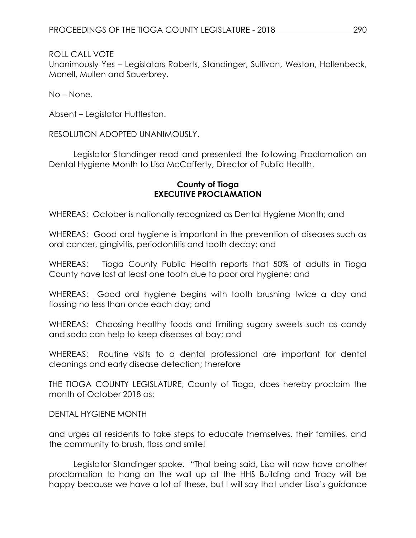Unanimously Yes – Legislators Roberts, Standinger, Sullivan, Weston, Hollenbeck, Monell, Mullen and Sauerbrey.

No – None.

Absent – Legislator Huttleston.

RESOLUTION ADOPTED UNANIMOUSLY.

Legislator Standinger read and presented the following Proclamation on Dental Hygiene Month to Lisa McCafferty, Director of Public Health.

# **County of Tioga EXECUTIVE PROCLAMATION**

WHEREAS: October is nationally recognized as Dental Hygiene Month; and

WHEREAS: Good oral hygiene is important in the prevention of diseases such as oral cancer, gingivitis, periodontitis and tooth decay; and

WHEREAS: Tioga County Public Health reports that 50% of adults in Tioga County have lost at least one tooth due to poor oral hygiene; and

WHEREAS: Good oral hygiene begins with tooth brushing twice a day and flossing no less than once each day; and

WHEREAS: Choosing healthy foods and limiting sugary sweets such as candy and soda can help to keep diseases at bay; and

WHEREAS: Routine visits to a dental professional are important for dental cleanings and early disease detection; therefore

THE TIOGA COUNTY LEGISLATURE, County of Tioga, does hereby proclaim the month of October 2018 as:

DENTAL HYGIENE MONTH

and urges all residents to take steps to educate themselves, their families, and the community to brush, floss and smile!

Legislator Standinger spoke. "That being said, Lisa will now have another proclamation to hang on the wall up at the HHS Building and Tracy will be happy because we have a lot of these, but I will say that under Lisa's guidance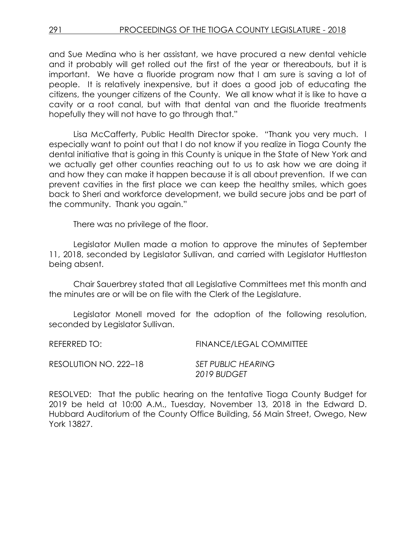and Sue Medina who is her assistant, we have procured a new dental vehicle and it probably will get rolled out the first of the year or thereabouts, but it is important. We have a fluoride program now that I am sure is saving a lot of people. It is relatively inexpensive, but it does a good job of educating the citizens, the younger citizens of the County. We all know what it is like to have a cavity or a root canal, but with that dental van and the fluoride treatments hopefully they will not have to go through that."

Lisa McCafferty, Public Health Director spoke. "Thank you very much. I especially want to point out that I do not know if you realize in Tioga County the dental initiative that is going in this County is unique in the State of New York and we actually get other counties reaching out to us to ask how we are doing it and how they can make it happen because it is all about prevention. If we can prevent cavities in the first place we can keep the healthy smiles, which goes back to Sheri and workforce development, we build secure jobs and be part of the community. Thank you again."

There was no privilege of the floor.

Legislator Mullen made a motion to approve the minutes of September 11, 2018, seconded by Legislator Sullivan, and carried with Legislator Huttleston being absent.

Chair Sauerbrey stated that all Legislative Committees met this month and the minutes are or will be on file with the Clerk of the Legislature.

Legislator Monell moved for the adoption of the following resolution, seconded by Legislator Sullivan.

REFERRED TO: FINANCE/LEGAL COMMITTEE

| RESOLUTION NO. 222–18 | <b>SET PUBLIC HEARING</b> |  |  |
|-----------------------|---------------------------|--|--|
|                       | 2019 BUDGET               |  |  |

RESOLVED: That the public hearing on the tentative Tioga County Budget for 2019 be held at 10:00 A.M., Tuesday, November 13, 2018 in the Edward D. Hubbard Auditorium of the County Office Building, 56 Main Street, Owego, New York 13827.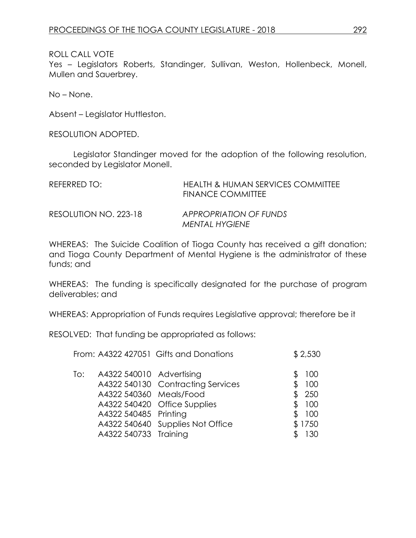Yes – Legislators Roberts, Standinger, Sullivan, Weston, Hollenbeck, Monell, Mullen and Sauerbrey.

No – None.

Absent – Legislator Huttleston.

RESOLUTION ADOPTED.

Legislator Standinger moved for the adoption of the following resolution, seconded by Legislator Monell.

| REFERRED TO:          | <b>HEALTH &amp; HUMAN SERVICES COMMITTEE</b><br><b>FINANCE COMMITTEE</b> |
|-----------------------|--------------------------------------------------------------------------|
| RESOLUTION NO. 223-18 | APPROPRIATION OF FUNDS<br><b>MENTAL HYGIENE</b>                          |

WHEREAS: The Suicide Coalition of Tioga County has received a gift donation; and Tioga County Department of Mental Hygiene is the administrator of these funds; and

WHEREAS: The funding is specifically designated for the purchase of program deliverables; and

WHEREAS: Appropriation of Funds requires Legislative approval; therefore be it

RESOLVED: That funding be appropriated as follows:

|     |                                                                              | From: A4322 427051 Gifts and Donations                                                                | \$2,530                                                 |
|-----|------------------------------------------------------------------------------|-------------------------------------------------------------------------------------------------------|---------------------------------------------------------|
| To: | A4322 540010 Advertising<br>A4322 540360 Meals/Food<br>A4322 540485 Printing | A4322 540130 Contracting Services<br>A4322 540420 Office Supplies<br>A4322 540640 Supplies Not Office | 100<br>100<br>\$250<br>100<br>\$<br>100<br>\$<br>\$1750 |
|     | A4322 540733 Training                                                        |                                                                                                       | 130                                                     |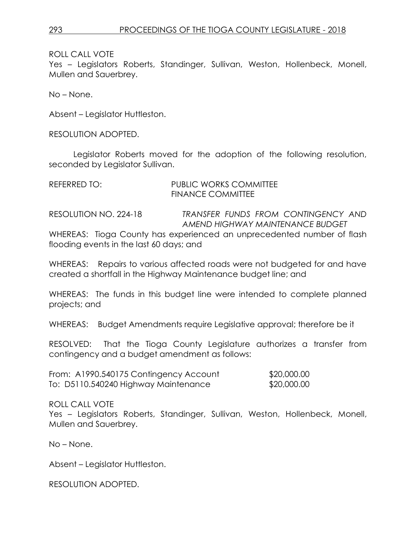Yes – Legislators Roberts, Standinger, Sullivan, Weston, Hollenbeck, Monell, Mullen and Sauerbrey.

No – None.

Absent – Legislator Huttleston.

RESOLUTION ADOPTED.

Legislator Roberts moved for the adoption of the following resolution, seconded by Legislator Sullivan.

| REFERRED TO: | PUBLIC WORKS COMMITTEE   |
|--------------|--------------------------|
|              | <b>FINANCE COMMITTEE</b> |
|              |                          |

RESOLUTION NO. 224-18 *TRANSFER FUNDS FROM CONTINGENCY AND AMEND HIGHWAY MAINTENANCE BUDGET*

WHEREAS: Tioga County has experienced an unprecedented number of flash flooding events in the last 60 days; and

WHEREAS: Repairs to various affected roads were not budgeted for and have created a shortfall in the Highway Maintenance budget line; and

WHEREAS: The funds in this budget line were intended to complete planned projects; and

WHEREAS: Budget Amendments require Legislative approval; therefore be it

RESOLVED: That the Tioga County Legislature authorizes a transfer from contingency and a budget amendment as follows:

| From: A1990.540175 Contingency Account | \$20,000.00 |
|----------------------------------------|-------------|
| To: D5110.540240 Highway Maintenance   | \$20,000.00 |

ROLL CALL VOTE

Yes – Legislators Roberts, Standinger, Sullivan, Weston, Hollenbeck, Monell, Mullen and Sauerbrey.

No – None.

Absent – Legislator Huttleston.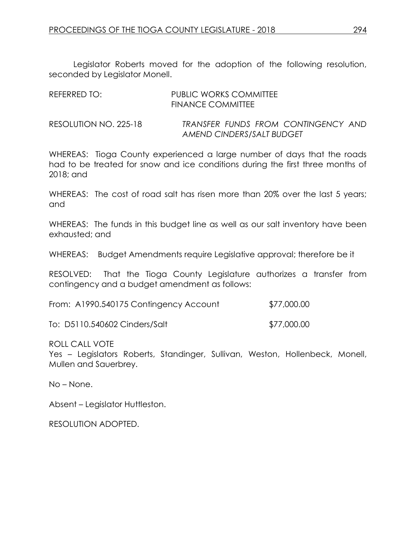Legislator Roberts moved for the adoption of the following resolution, seconded by Legislator Monell.

| REFERRED TO:          | <b>PUBLIC WORKS COMMITTEE</b><br><b>FINANCE COMMITTEE</b>        |
|-----------------------|------------------------------------------------------------------|
| RESOLUTION NO. 225-18 | TRANSFER FUNDS FROM CONTINGENCY AND<br>AMEND CINDERS/SALT BUDGET |

WHEREAS: Tioga County experienced a large number of days that the roads had to be treated for snow and ice conditions during the first three months of 2018; and

WHEREAS: The cost of road salt has risen more than 20% over the last 5 years; and

WHEREAS: The funds in this budget line as well as our salt inventory have been exhausted; and

WHEREAS: Budget Amendments require Legislative approval; therefore be it

RESOLVED: That the Tioga County Legislature authorizes a transfer from contingency and a budget amendment as follows:

| From: A1990.540175 Contingency Account | \$77,000.00 |
|----------------------------------------|-------------|
|----------------------------------------|-------------|

To: D5110.540602 Cinders/Salt \$77,000.00

ROLL CALL VOTE

Yes – Legislators Roberts, Standinger, Sullivan, Weston, Hollenbeck, Monell, Mullen and Sauerbrey.

No – None.

Absent – Legislator Huttleston.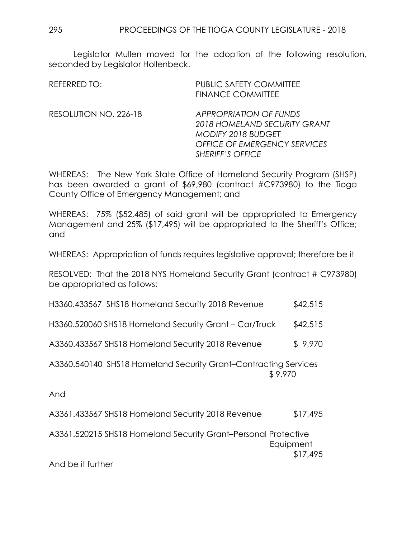Legislator Mullen moved for the adoption of the following resolution, seconded by Legislator Hollenbeck.

| REFERRED TO:          | <b>PUBLIC SAFETY COMMITTEE</b><br><b>FINANCE COMMITTEE</b>                                                                                                   |
|-----------------------|--------------------------------------------------------------------------------------------------------------------------------------------------------------|
| RESOLUTION NO. 226-18 | <b>APPROPRIATION OF FUNDS</b><br>2018 HOMELAND SECURITY GRANT<br><b>MODIFY 2018 BUDGET</b><br><b>OFFICE OF EMERGENCY SERVICES</b><br><b>SHERIFF'S OFFICE</b> |

WHEREAS: The New York State Office of Homeland Security Program (SHSP) has been awarded a grant of \$69,980 (contract #C973980) to the Tioga County Office of Emergency Management; and

WHEREAS: 75% (\$52,485) of said grant will be appropriated to Emergency Management and 25% (\$17,495) will be appropriated to the Sheriff's Office; and

WHEREAS: Appropriation of funds requires legislative approval; therefore be it

RESOLVED: That the 2018 NYS Homeland Security Grant (contract # C973980) be appropriated as follows:

| H3360.433567 SHS18 Homeland Security 2018 Revenue                          | \$42,515 |  |
|----------------------------------------------------------------------------|----------|--|
| H3360.520060 SHS18 Homeland Security Grant - Car/Truck                     | \$42,515 |  |
| A3360.433567 SHS18 Homeland Security 2018 Revenue                          | \$9,970  |  |
| A3360.540140 SHS18 Homeland Security Grant-Contracting Services<br>\$9,970 |          |  |
| And                                                                        |          |  |
| A3361.433567 SHS18 Homeland Security 2018 Revenue                          | \$17,495 |  |
| A3361.520215 SHS18 Homeland Security Grant-Personal Protective             |          |  |

**Equipment** \$17,495

And be it further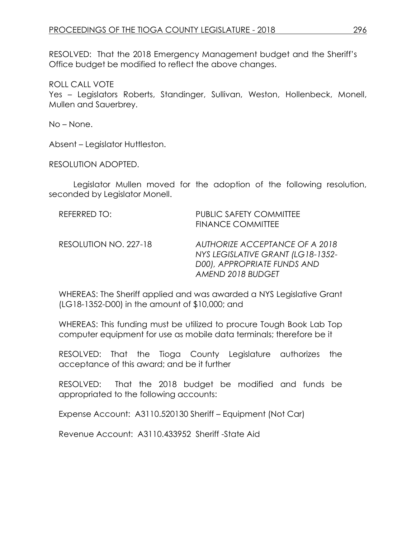RESOLVED: That the 2018 Emergency Management budget and the Sheriff's Office budget be modified to reflect the above changes.

ROLL CALL VOTE

Yes – Legislators Roberts, Standinger, Sullivan, Weston, Hollenbeck, Monell, Mullen and Sauerbrey.

No – None.

Absent – Legislator Huttleston.

RESOLUTION ADOPTED.

Legislator Mullen moved for the adoption of the following resolution, seconded by Legislator Monell.

| REFERRED TO:          | <b>PUBLIC SAFETY COMMITTEE</b><br><b>FINANCE COMMITTEE</b>                                                              |
|-----------------------|-------------------------------------------------------------------------------------------------------------------------|
| RESOLUTION NO. 227-18 | AUTHORIZE ACCEPTANCE OF A 2018<br>NYS LEGISLATIVE GRANT (LG18-1352-<br>D00), APPROPRIATE FUNDS AND<br>AMEND 2018 BUDGET |

WHEREAS: The Sheriff applied and was awarded a NYS Legislative Grant (LG18-1352-D00) in the amount of \$10,000; and

WHEREAS: This funding must be utilized to procure Tough Book Lab Top computer equipment for use as mobile data terminals; therefore be it

RESOLVED: That the Tioga County Legislature authorizes the acceptance of this award; and be it further

RESOLVED: That the 2018 budget be modified and funds be appropriated to the following accounts:

Expense Account: A3110.520130 Sheriff – Equipment (Not Car)

Revenue Account: A3110.433952 Sheriff -State Aid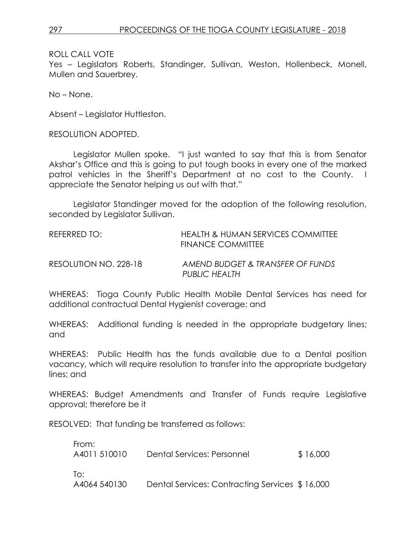Yes – Legislators Roberts, Standinger, Sullivan, Weston, Hollenbeck, Monell, Mullen and Sauerbrey.

No – None.

Absent – Legislator Huttleston.

RESOLUTION ADOPTED.

Legislator Mullen spoke. "I just wanted to say that this is from Senator Akshar's Office and this is going to put tough books in every one of the marked patrol vehicles in the Sheriff's Department at no cost to the County. I appreciate the Senator helping us out with that."

Legislator Standinger moved for the adoption of the following resolution, seconded by Legislator Sullivan.

| REFERRED TO:          | HEALTH & HUMAN SERVICES COMMITTEE<br><b>FINANCE COMMITTEE</b> |
|-----------------------|---------------------------------------------------------------|
| RESOLUTION NO. 228-18 | AMEND BUDGET & TRANSFER OF FUNDS<br>PUBLIC HEALTH             |

WHEREAS: Tioga County Public Health Mobile Dental Services has need for additional contractual Dental Hygienist coverage; and

WHEREAS: Additional funding is needed in the appropriate budgetary lines; and

WHEREAS: Public Health has the funds available due to a Dental position vacancy, which will require resolution to transfer into the appropriate budgetary lines; and

WHEREAS: Budget Amendments and Transfer of Funds require Legislative approval; therefore be it

RESOLVED: That funding be transferred as follows:

| From:<br>A4011 510010 | Dental Services: Personnel                     | \$16,000 |
|-----------------------|------------------------------------------------|----------|
| To:<br>A4064 540130   | Dental Services: Contracting Services \$16,000 |          |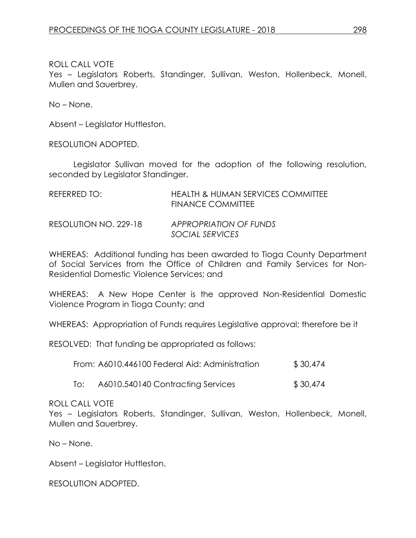Yes – Legislators Roberts, Standinger, Sullivan, Weston, Hollenbeck, Monell, Mullen and Sauerbrey.

No – None.

Absent – Legislator Huttleston.

RESOLUTION ADOPTED.

Legislator Sullivan moved for the adoption of the following resolution, seconded by Legislator Standinger.

| REFERRED TO:          | <b>HEALTH &amp; HUMAN SERVICES COMMITTEE</b><br><b>FINANCE COMMITTEE</b> |
|-----------------------|--------------------------------------------------------------------------|
| RESOLUTION NO. 229-18 | APPROPRIATION OF FUNDS<br>SOCIAL SERVICES                                |

WHEREAS: Additional funding has been awarded to Tioga County Department of Social Services from the Office of Children and Family Services for Non-Residential Domestic Violence Services; and

WHEREAS: A New Hope Center is the approved Non-Residential Domestic Violence Program in Tioga County; and

WHEREAS: Appropriation of Funds requires Legislative approval; therefore be it

RESOLVED: That funding be appropriated as follows:

| From: A6010.446100 Federal Aid: Administration | \$30,474 |
|------------------------------------------------|----------|
|------------------------------------------------|----------|

To: A6010.540140 Contracting Services \$ 30,474

## ROLL CALL VOTE

Yes – Legislators Roberts, Standinger, Sullivan, Weston, Hollenbeck, Monell, Mullen and Sauerbrey.

No – None.

Absent – Legislator Huttleston.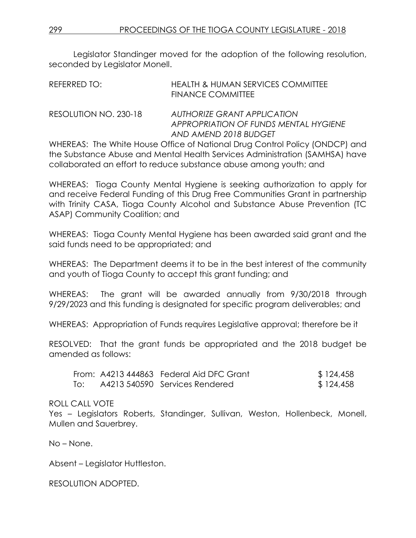Legislator Standinger moved for the adoption of the following resolution, seconded by Legislator Monell.

| REFERRED TO: | <b>HEALTH &amp; HUMAN SERVICES COMMITTEE</b> |
|--------------|----------------------------------------------|
|              | <b>FINANCE COMMITTEE</b>                     |

RESOLUTION NO. 230-18 *AUTHORIZE GRANT APPLICATION APPROPRIATION OF FUNDS MENTAL HYGIENE AND AMEND 2018 BUDGET*

WHEREAS: The White House Office of National Drug Control Policy (ONDCP) and the Substance Abuse and Mental Health Services Administration (SAMHSA) have collaborated an effort to reduce substance abuse among youth; and

WHEREAS: Tioga County Mental Hygiene is seeking authorization to apply for and receive Federal Funding of this Drug Free Communities Grant in partnership with Trinity CASA, Tioga County Alcohol and Substance Abuse Prevention (TC ASAP) Community Coalition; and

WHEREAS: Tioga County Mental Hygiene has been awarded said grant and the said funds need to be appropriated; and

WHEREAS: The Department deems it to be in the best interest of the community and youth of Tioga County to accept this grant funding; and

WHEREAS: The grant will be awarded annually from 9/30/2018 through 9/29/2023 and this funding is designated for specific program deliverables; and

WHEREAS: Appropriation of Funds requires Legislative approval; therefore be it

RESOLVED: That the grant funds be appropriated and the 2018 budget be amended as follows:

|     | From: A4213 444863 Federal Aid DFC Grant | \$124,458 |
|-----|------------------------------------------|-----------|
| To: | A4213 540590 Services Rendered           | \$124,458 |

# ROLL CALL VOTE

Yes – Legislators Roberts, Standinger, Sullivan, Weston, Hollenbeck, Monell, Mullen and Sauerbrey.

No – None.

Absent – Legislator Huttleston.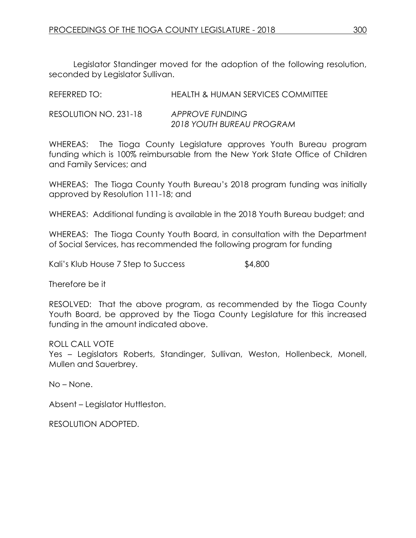Legislator Standinger moved for the adoption of the following resolution, seconded by Legislator Sullivan.

| REFERRED TO:          | <b>HEALTH &amp; HUMAN SERVICES COMMITTEE</b> |
|-----------------------|----------------------------------------------|
| RESOLUTION NO. 231-18 | APPROVE FUNDING<br>2018 YOUTH BUREAU PROGRAM |

WHEREAS: The Tioga County Legislature approves Youth Bureau program funding which is 100% reimbursable from the New York State Office of Children and Family Services; and

WHEREAS: The Tioga County Youth Bureau's 2018 program funding was initially approved by Resolution 111-18; and

WHEREAS: Additional funding is available in the 2018 Youth Bureau budget; and

WHEREAS: The Tioga County Youth Board, in consultation with the Department of Social Services, has recommended the following program for funding

Kali's Klub House 7 Step to Success  $$4,800$ 

Therefore be it

RESOLVED: That the above program, as recommended by the Tioga County Youth Board, be approved by the Tioga County Legislature for this increased funding in the amount indicated above.

ROLL CALL VOTE

Yes – Legislators Roberts, Standinger, Sullivan, Weston, Hollenbeck, Monell, Mullen and Sauerbrey.

No – None.

Absent – Legislator Huttleston.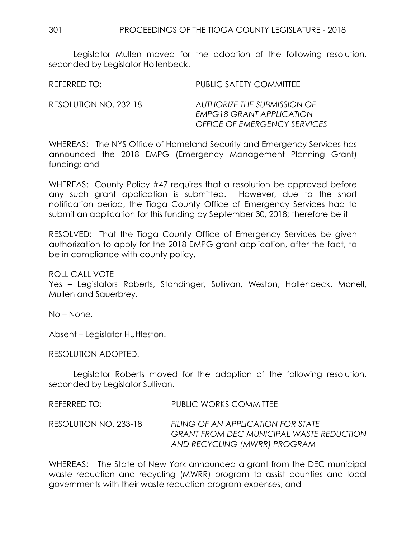Legislator Mullen moved for the adoption of the following resolution, seconded by Legislator Hollenbeck.

REFERRED TO: PUBLIC SAFETY COMMITTEE

RESOLUTION NO. 232-18 *AUTHORIZE THE SUBMISSION OF EMPG18 GRANT APPLICATION OFFICE OF EMERGENCY SERVICES*

WHEREAS: The NYS Office of Homeland Security and Emergency Services has announced the 2018 EMPG (Emergency Management Planning Grant) funding; and

WHEREAS: County Policy #47 requires that a resolution be approved before any such grant application is submitted. However, due to the short notification period, the Tioga County Office of Emergency Services had to submit an application for this funding by September 30, 2018; therefore be it

RESOLVED: That the Tioga County Office of Emergency Services be given authorization to apply for the 2018 EMPG grant application, after the fact, to be in compliance with county policy.

ROLL CALL VOTE

Yes – Legislators Roberts, Standinger, Sullivan, Weston, Hollenbeck, Monell, Mullen and Sauerbrey.

No – None.

Absent – Legislator Huttleston.

RESOLUTION ADOPTED.

Legislator Roberts moved for the adoption of the following resolution, seconded by Legislator Sullivan.

REFERRED TO: PUBLIC WORKS COMMITTEE

RESOLUTION NO. 233-18 *FILING OF AN APPLICATION FOR STATE GRANT FROM DEC MUNICIPAL WASTE REDUCTION AND RECYCLING (MWRR) PROGRAM*

WHEREAS: The State of New York announced a grant from the DEC municipal waste reduction and recycling (MWRR) program to assist counties and local governments with their waste reduction program expenses; and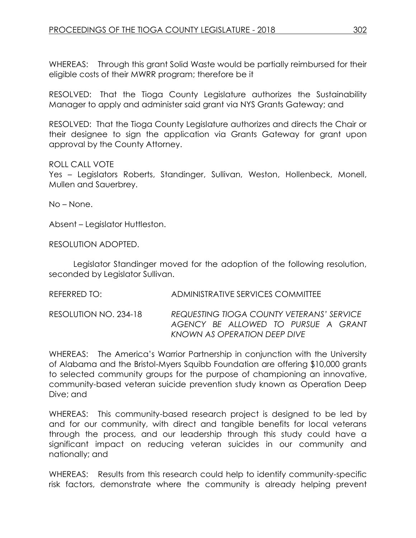WHEREAS: Through this grant Solid Waste would be partially reimbursed for their eligible costs of their MWRR program; therefore be it

RESOLVED: That the Tioga County Legislature authorizes the Sustainability Manager to apply and administer said grant via NYS Grants Gateway; and

RESOLVED: That the Tioga County Legislature authorizes and directs the Chair or their designee to sign the application via Grants Gateway for grant upon approval by the County Attorney.

## ROLL CALL VOTE

Yes – Legislators Roberts, Standinger, Sullivan, Weston, Hollenbeck, Monell, Mullen and Sauerbrey.

No – None.

Absent – Legislator Huttleston.

RESOLUTION ADOPTED.

Legislator Standinger moved for the adoption of the following resolution, seconded by Legislator Sullivan.

REFERRED TO: ADMINISTRATIVE SERVICES COMMITTEE

RESOLUTION NO. 234-18 *REQUESTING TIOGA COUNTY VETERANS' SERVICE AGENCY BE ALLOWED TO PURSUE A GRANT KNOWN AS OPERATION DEEP DIVE*

WHEREAS: The America's Warrior Partnership in conjunction with the University of Alabama and the Bristol-Myers Squibb Foundation are offering \$10,000 grants to selected community groups for the purpose of championing an innovative, community-based veteran suicide prevention study known as Operation Deep Dive; and

WHEREAS: This community-based research project is designed to be led by and for our community, with direct and tangible benefits for local veterans through the process, and our leadership through this study could have a significant impact on reducing veteran suicides in our community and nationally; and

WHEREAS: Results from this research could help to identify community-specific risk factors, demonstrate where the community is already helping prevent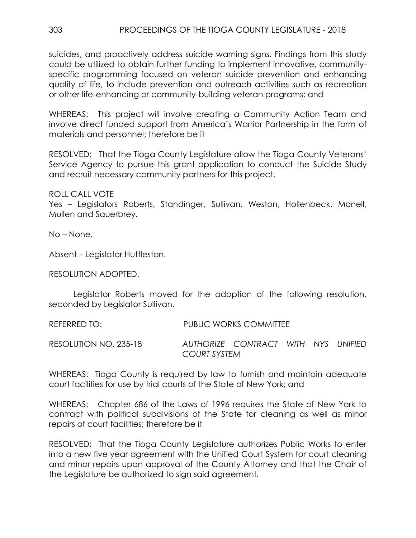suicides, and proactively address suicide warning signs. Findings from this study could be utilized to obtain further funding to implement innovative, communityspecific programming focused on veteran suicide prevention and enhancing quality of life, to include prevention and outreach activities such as recreation or other life-enhancing or community-building veteran programs; and

WHEREAS: This project will involve creating a Community Action Team and involve direct funded support from America's Warrior Partnership in the form of materials and personnel; therefore be it

RESOLVED: That the Tioga County Legislature allow the Tioga County Veterans' Service Agency to pursue this grant application to conduct the Suicide Study and recruit necessary community partners for this project.

ROLL CALL VOTE

Yes – Legislators Roberts, Standinger, Sullivan, Weston, Hollenbeck, Monell, Mullen and Sauerbrey.

No – None.

Absent – Legislator Huttleston.

RESOLUTION ADOPTED.

Legislator Roberts moved for the adoption of the following resolution, seconded by Legislator Sullivan.

REFERRED TO: PUBLIC WORKS COMMITTEE RESOLUTION NO. 235-18 *AUTHORIZE CONTRACT WITH NYS UNIFIED COURT SYSTEM*

WHEREAS: Tioga County is required by law to furnish and maintain adequate court facilities for use by trial courts of the State of New York; and

WHEREAS: Chapter 686 of the Laws of 1996 requires the State of New York to contract with political subdivisions of the State for cleaning as well as minor repairs of court facilities; therefore be it

RESOLVED: That the Tioga County Legislature authorizes Public Works to enter into a new five year agreement with the Unified Court System for court cleaning and minor repairs upon approval of the County Attorney and that the Chair of the Legislature be authorized to sign said agreement.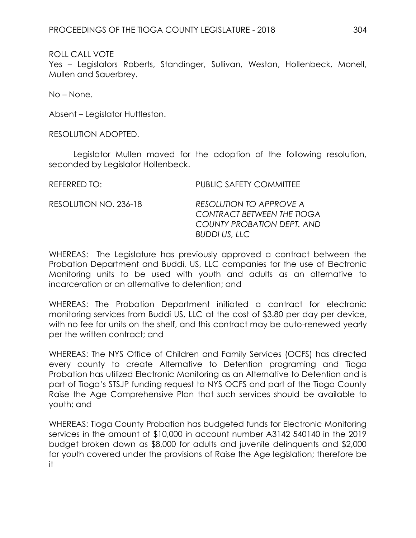Yes – Legislators Roberts, Standinger, Sullivan, Weston, Hollenbeck, Monell, Mullen and Sauerbrey.

No – None.

Absent – Legislator Huttleston.

RESOLUTION ADOPTED.

Legislator Mullen moved for the adoption of the following resolution, seconded by Legislator Hollenbeck.

REFERRED TO: PUBLIC SAFETY COMMITTEE RESOLUTION NO. 236-18 *RESOLUTION TO APPROVE A CONTRACT BETWEEN THE TIOGA COUNTY PROBATION DEPT. AND BUDDI US, LLC*

WHEREAS: The Legislature has previously approved a contract between the Probation Department and Buddi, US, LLC companies for the use of Electronic Monitoring units to be used with youth and adults as an alternative to incarceration or an alternative to detention; and

WHEREAS: The Probation Department initiated a contract for electronic monitoring services from Buddi US, LLC at the cost of \$3.80 per day per device, with no fee for units on the shelf, and this contract may be auto-renewed yearly per the written contract; and

WHEREAS: The NYS Office of Children and Family Services (OCFS) has directed every county to create Alternative to Detention programing and Tioga Probation has utilized Electronic Monitoring as an Alternative to Detention and is part of Tioga's STSJP funding request to NYS OCFS and part of the Tioga County Raise the Age Comprehensive Plan that such services should be available to youth; and

WHEREAS: Tioga County Probation has budgeted funds for Electronic Monitoring services in the amount of \$10,000 in account number A3142 540140 in the 2019 budget broken down as \$8,000 for adults and juvenile delinquents and \$2,000 for youth covered under the provisions of Raise the Age legislation; therefore be it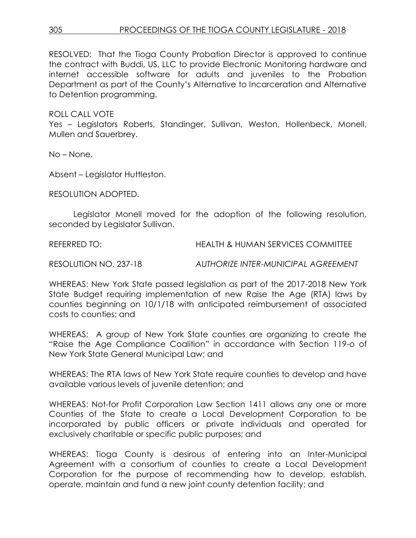RESOLVED: That the Tioga County Probation Director is approved to continue the contract with Buddi, US, LLC to provide Electronic Monitoring hardware and internet accessible software for adults and juveniles to the Probation Department as part of the County's Alternative to Incarceration and Alternative to Detention programming.

# ROLL CALL VOTE

Yes – Legislators Roberts, Standinger, Sullivan, Weston, Hollenbeck, Monell, Mullen and Sauerbrey.

No – None.

Absent – Legislator Huttleston.

RESOLUTION ADOPTED.

Legislator Monell moved for the adoption of the following resolution, seconded by Legislator Sullivan.

REFERRED TO: HEALTH & HUMAN SERVICES COMMITTEE

RESOLUTION NO. 237-18 *AUTHORIZE INTER-MUNICIPAL AGREEMENT*

WHEREAS: New York State passed legislation as part of the 2017-2018 New York State Budget requiring implementation of new Raise the Age (RTA) laws by counties beginning on 10/1/18 with anticipated reimbursement of associated costs to counties; and

WHEREAS: A group of New York State counties are organizing to create the "Raise the Age Compliance Coalition" in accordance with Section 119-o of New York State General Municipal Law; and

WHEREAS: The RTA laws of New York State require counties to develop and have available various levels of juvenile detention; and

WHEREAS: Not-for Profit Corporation Law Section 1411 allows any one or more Counties of the State to create a Local Development Corporation to be incorporated by public officers or private individuals and operated for exclusively charitable or specific public purposes; and

WHEREAS: Tioga County is desirous of entering into an Inter-Municipal Agreement with a consortium of counties to create a Local Development Corporation for the purpose of recommending how to develop, establish, operate, maintain and fund a new joint county detention facility; and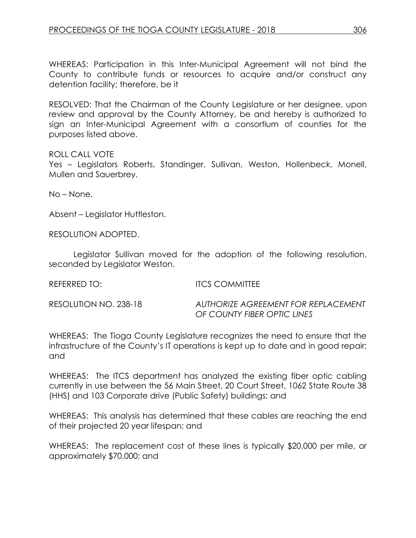WHEREAS: Participation in this Inter-Municipal Agreement will not bind the County to contribute funds or resources to acquire and/or construct any detention facility; therefore, be it

RESOLVED: That the Chairman of the County Legislature or her designee, upon review and approval by the County Attorney, be and hereby is authorized to sign an Inter-Municipal Agreement with a consortium of counties for the purposes listed above.

## ROLL CALL VOTE

Yes – Legislators Roberts, Standinger, Sullivan, Weston, Hollenbeck, Monell, Mullen and Sauerbrey.

No – None.

Absent – Legislator Huttleston.

RESOLUTION ADOPTED.

Legislator Sullivan moved for the adoption of the following resolution, seconded by Legislator Weston.

REFERRED TO: ITCS COMMITTEE

RESOLUTION NO. 238-18 *AUTHORIZE AGREEMENT FOR REPLACEMENT OF COUNTY FIBER OPTIC LINES*

WHEREAS: The Tioga County Legislature recognizes the need to ensure that the infrastructure of the County's IT operations is kept up to date and in good repair; and

WHEREAS: The ITCS department has analyzed the existing fiber optic cabling currently in use between the 56 Main Street, 20 Court Street, 1062 State Route 38 (HHS) and 103 Corporate drive (Public Safety) buildings; and

WHEREAS: This analysis has determined that these cables are reaching the end of their projected 20 year lifespan; and

WHEREAS: The replacement cost of these lines is typically \$20,000 per mile, or approximately \$70,000; and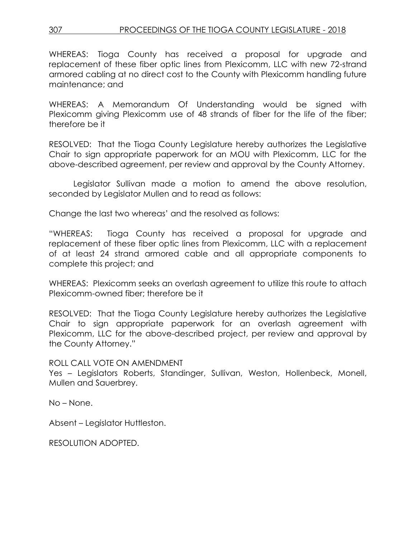WHEREAS: Tioga County has received a proposal for upgrade and replacement of these fiber optic lines from Plexicomm, LLC with new 72-strand armored cabling at no direct cost to the County with Plexicomm handling future maintenance; and

WHEREAS: A Memorandum Of Understanding would be signed with Plexicomm giving Plexicomm use of 48 strands of fiber for the life of the fiber; therefore be it

RESOLVED: That the Tioga County Legislature hereby authorizes the Legislative Chair to sign appropriate paperwork for an MOU with Plexicomm, LLC for the above-described agreement, per review and approval by the County Attorney.

Legislator Sullivan made a motion to amend the above resolution, seconded by Legislator Mullen and to read as follows:

Change the last two whereas' and the resolved as follows:

"WHEREAS: Tioga County has received a proposal for upgrade and replacement of these fiber optic lines from Plexicomm, LLC with a replacement of at least 24 strand armored cable and all appropriate components to complete this project; and

WHEREAS: Plexicomm seeks an overlash agreement to utilize this route to attach Plexicomm-owned fiber; therefore be it

RESOLVED: That the Tioga County Legislature hereby authorizes the Legislative Chair to sign appropriate paperwork for an overlash agreement with Plexicomm, LLC for the above-described project, per review and approval by the County Attorney."

# ROLL CALL VOTE ON AMENDMENT

Yes – Legislators Roberts, Standinger, Sullivan, Weston, Hollenbeck, Monell, Mullen and Sauerbrey.

No – None.

Absent – Legislator Huttleston.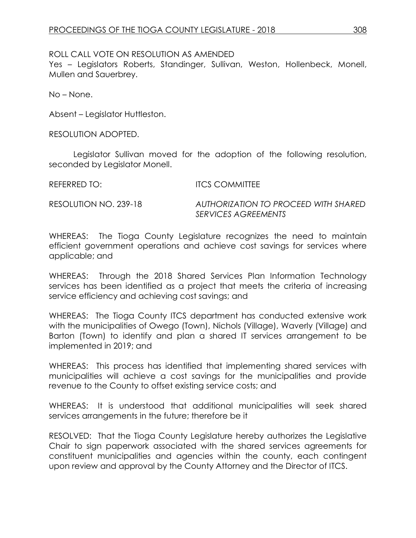# ROLL CALL VOTE ON RESOLUTION AS AMENDED

Yes – Legislators Roberts, Standinger, Sullivan, Weston, Hollenbeck, Monell, Mullen and Sauerbrey.

No – None.

Absent – Legislator Huttleston.

RESOLUTION ADOPTED.

Legislator Sullivan moved for the adoption of the following resolution, seconded by Legislator Monell.

REFERRED TO: ITCS COMMITTEE

RESOLUTION NO. 239-18 *AUTHORIZATION TO PROCEED WITH SHARED SERVICES AGREEMENTS*

WHEREAS: The Tioga County Legislature recognizes the need to maintain efficient government operations and achieve cost savings for services where applicable; and

WHEREAS: Through the 2018 Shared Services Plan Information Technology services has been identified as a project that meets the criteria of increasing service efficiency and achieving cost savings; and

WHEREAS: The Tioga County ITCS department has conducted extensive work with the municipalities of Owego (Town), Nichols (Village), Waverly (Village) and Barton (Town) to identify and plan a shared IT services arrangement to be implemented in 2019; and

WHEREAS: This process has identified that implementing shared services with municipalities will achieve a cost savings for the municipalities and provide revenue to the County to offset existing service costs; and

WHEREAS: It is understood that additional municipalities will seek shared services arrangements in the future; therefore be it

RESOLVED: That the Tioga County Legislature hereby authorizes the Legislative Chair to sign paperwork associated with the shared services agreements for constituent municipalities and agencies within the county, each contingent upon review and approval by the County Attorney and the Director of ITCS.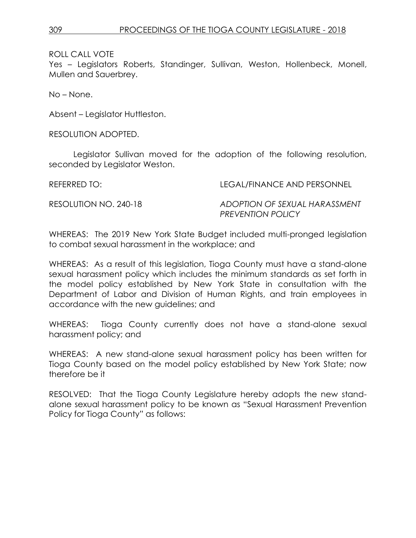Yes – Legislators Roberts, Standinger, Sullivan, Weston, Hollenbeck, Monell, Mullen and Sauerbrey.

No – None.

Absent – Legislator Huttleston.

RESOLUTION ADOPTED.

Legislator Sullivan moved for the adoption of the following resolution, seconded by Legislator Weston.

REFERRED TO: LEGAL/FINANCE AND PERSONNEL

RESOLUTION NO. 240-18 *ADOPTION OF SEXUAL HARASSMENT PREVENTION POLICY* 

WHEREAS: The 2019 New York State Budget included multi-pronged legislation to combat sexual harassment in the workplace; and

WHEREAS: As a result of this legislation, Tioga County must have a stand-alone sexual harassment policy which includes the minimum standards as set forth in the model policy established by New York State in consultation with the Department of Labor and Division of Human Rights, and train employees in accordance with the new guidelines; and

WHEREAS: Tioga County currently does not have a stand-alone sexual harassment policy; and

WHEREAS: A new stand-alone sexual harassment policy has been written for Tioga County based on the model policy established by New York State; now therefore be it

RESOLVED: That the Tioga County Legislature hereby adopts the new standalone sexual harassment policy to be known as "Sexual Harassment Prevention Policy for Tioga County" as follows: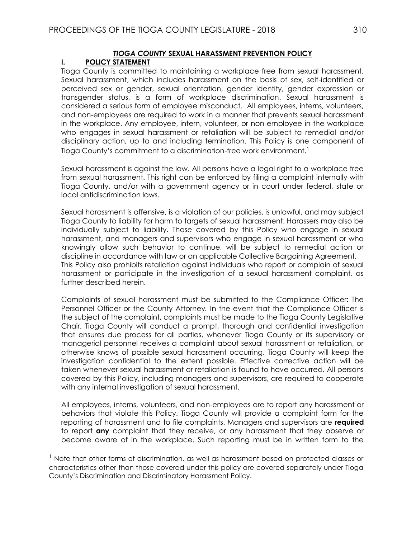# *TIOGA COUNTY* **SEXUAL HARASSMENT PREVENTION POLICY**

## **I. POLICY STATEMENT**

 $\overline{a}$ 

Tioga County is committed to maintaining a workplace free from sexual harassment. Sexual harassment, which includes harassment on the basis of sex, self-identified or perceived sex or gender, sexual orientation, gender identity, gender expression or transgender status, is a form of workplace discrimination. Sexual harassment is considered a serious form of employee misconduct. All employees, interns, volunteers, and non-employees are required to work in a manner that prevents sexual harassment in the workplace. Any employee, intern, volunteer, or non-employee in the workplace who engages in sexual harassment or retaliation will be subject to remedial and/or disciplinary action, up to and including termination. This Policy is one component of Tioga County's commitment to a discrimination-free work environment.<sup>1</sup>

Sexual harassment is against the law. All persons have a legal right to a workplace free from sexual harassment. This right can be enforced by filing a complaint internally with Tioga County, and/or with a government agency or in court under federal, state or local antidiscrimination laws.

Sexual harassment is offensive, is a violation of our policies, is unlawful, and may subject Tioga County to liability for harm to targets of sexual harassment. Harassers may also be individually subject to liability. Those covered by this Policy who engage in sexual harassment, and managers and supervisors who engage in sexual harassment or who knowingly allow such behavior to continue, will be subject to remedial action or discipline in accordance with law or an applicable Collective Bargaining Agreement. This Policy also prohibits retaliation against individuals who report or complain of sexual harassment or participate in the investigation of a sexual harassment complaint, as further described herein.

Complaints of sexual harassment must be submitted to the Compliance Officer: The Personnel Officer or the County Attorney*.* In the event that the Compliance Officer is the subject of the complaint, complaints must be made to the Tioga County Legislative Chair. Tioga County will conduct a prompt, thorough and confidential investigation that ensures due process for all parties, whenever Tioga County or its supervisory or managerial personnel receives a complaint about sexual harassment or retaliation, or otherwise knows of possible sexual harassment occurring. Tioga County will keep the investigation confidential to the extent possible. Effective corrective action will be taken whenever sexual harassment or retaliation is found to have occurred. All persons covered by this Policy, including managers and supervisors, are required to cooperate with any internal investigation of sexual harassment.

All employees, interns, volunteers, and non-employees are to report any harassment or behaviors that violate this Policy. Tioga County will provide a complaint form for the reporting of harassment and to file complaints. Managers and supervisors are **required**  to report **any** complaint that they receive, or any harassment that they observe or become aware of in the workplace. Such reporting must be in written form to the

 $<sup>1</sup>$  Note that other forms of discrimination, as well as harassment based on protected classes or</sup> characteristics other than those covered under this policy are covered separately under Tioga County's Discrimination and Discriminatory Harassment Policy.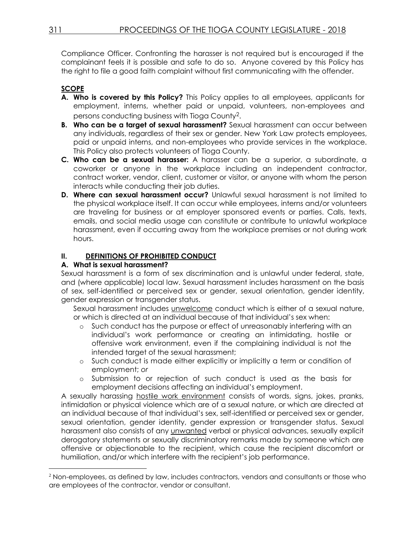Compliance Officer. Confronting the harasser is not required but is encouraged if the complainant feels it is possible and safe to do so. Anyone covered by this Policy has the right to file a good faith complaint without first communicating with the offender.

# **SCOPE**

- **A. Who is covered by this Policy?** This Policy applies to all employees, applicants for employment, interns, whether paid or unpaid, volunteers, non-employees and persons conducting business with Tioga County2.
- **B. Who can be a target of sexual harassment?** Sexual harassment can occur between any individuals, regardless of their sex or gender. New York Law protects employees, paid or unpaid interns, and non-employees who provide services in the workplace. This Policy also protects volunteers of Tioga County.
- **C. Who can be a sexual harasser:** A harasser can be a superior, a subordinate, a coworker or anyone in the workplace including an independent contractor, contract worker, vendor, client, customer or visitor, or anyone with whom the person interacts while conducting their job duties.
- **D. Where can sexual harassment occur?** Unlawful sexual harassment is not limited to the physical workplace itself. It can occur while employees, interns and/or volunteers are traveling for business or at employer sponsored events or parties. Calls, texts, emails, and social media usage can constitute or contribute to unlawful workplace harassment, even if occurring away from the workplace premises or not during work hours.

## **II. DEFINITIONS OF PROHIBITED CONDUCT**

#### **A. What is sexual harassment?**

Sexual harassment is a form of sex discrimination and is unlawful under federal, state, and (where applicable) local law. Sexual harassment includes harassment on the basis of sex, self-identified or perceived sex or gender, sexual orientation, gender identity, gender expression or transgender status.

Sexual harassment includes unwelcome conduct which is either of a sexual nature, or which is directed at an individual because of that individual's sex when:

- o Such conduct has the purpose or effect of unreasonably interfering with an individual's work performance or creating an intimidating, hostile or offensive work environment, even if the complaining individual is not the intended target of the sexual harassment;
- o Such conduct is made either explicitly or implicitly a term or condition of employment; *or*
- o Submission to or rejection of such conduct is used as the basis for employment decisions affecting an individual's employment.

A sexually harassing hostile work environment consists of words, signs, jokes, pranks, intimidation or physical violence which are of a sexual nature, or which are directed at an individual because of that individual's sex, self-identified or perceived sex or gender, sexual orientation, gender identity, gender expression or transgender status. Sexual harassment also consists of any unwanted verbal or physical advances, sexually explicit derogatory statements or sexually discriminatory remarks made by someone which are offensive or objectionable to the recipient, which cause the recipient discomfort or humiliation, and/or which interfere with the recipient's job performance.

 $\overline{a}$ 

<sup>&</sup>lt;sup>2</sup> Non-employees, as defined by law, includes contractors, vendors and consultants or those who are employees of the contractor, vendor or consultant.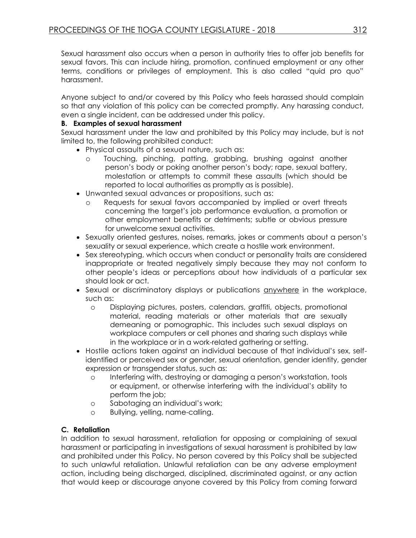Sexual harassment also occurs when a person in authority tries to offer job benefits for sexual favors. This can include hiring, promotion, continued employment or any other terms, conditions or privileges of employment. This is also called "quid pro quo" harassment.

Anyone subject to and/or covered by this Policy who feels harassed should complain so that any violation of this policy can be corrected promptly. Any harassing conduct, even a single incident, can be addressed under this policy.

#### **B. Examples of sexual harassment**

Sexual harassment under the law and prohibited by this Policy may include, but is not limited to, the following prohibited conduct:

- Physical assaults of a sexual nature, such as:
	- o Touching, pinching, patting, grabbing, brushing against another person's body or poking another person's body; rape, sexual battery, molestation or attempts to commit these assaults (which should be reported to local authorities as promptly as is possible).
- Unwanted sexual advances or propositions, such as:
	- o Requests for sexual favors accompanied by implied or overt threats concerning the target's job performance evaluation, a promotion or other employment benefits or detriments; subtle or obvious pressure for unwelcome sexual activities.
- Sexually oriented gestures, noises, remarks, jokes or comments about a person's sexuality or sexual experience, which create a hostile work environment.
- Sex stereotyping, which occurs when conduct or personality traits are considered inappropriate or treated negatively simply because they may not conform to other people's ideas or perceptions about how individuals of a particular sex should look or act.
- Sexual or discriminatory displays or publications anywhere in the workplace, such as:
	- o Displaying pictures, posters, calendars, graffiti, objects, promotional material, reading materials or other materials that are sexually demeaning or pornographic. This includes such sexual displays on workplace computers or cell phones and sharing such displays while in the workplace or in a work-related gathering or setting.
- Hostile actions taken against an individual because of that individual's sex, selfidentified or perceived sex or gender, sexual orientation, gender identity, gender expression or transgender status, such as:
	- o Interfering with, destroying or damaging a person's workstation, tools or equipment, or otherwise interfering with the individual's ability to perform the job;
	- o Sabotaging an individual's work;
	- o Bullying, yelling, name-calling.

## **C. Retaliation**

In addition to sexual harassment, retaliation for opposing or complaining of sexual harassment or participating in investigations of sexual harassment is prohibited by law and prohibited under this Policy. No person covered by this Policy shall be subjected to such unlawful retaliation. Unlawful retaliation can be any adverse employment action, including being discharged, disciplined, discriminated against, or any action that would keep or discourage anyone covered by this Policy from coming forward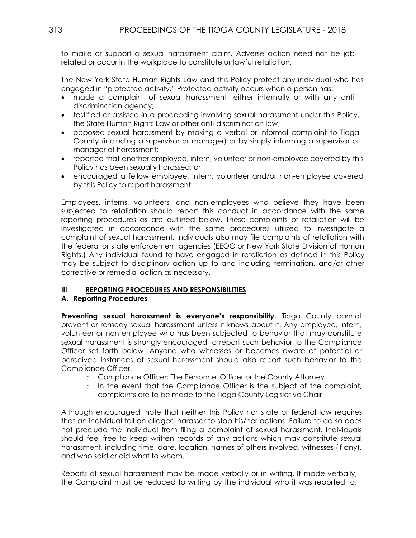to make or support a sexual harassment claim. Adverse action need not be jobrelated or occur in the workplace to constitute unlawful retaliation.

The New York State Human Rights Law and this Policy protect any individual who has engaged in "protected activity." Protected activity occurs when a person has:

- made a complaint of sexual harassment, either internally or with any antidiscrimination agency;
- testified or assisted in a proceeding involving sexual harassment under this Policy, the State Human Rights Law or other anti-discrimination law;
- opposed sexual harassment by making a verbal or informal complaint to Tioga County (including a supervisor or manager) or by simply informing a supervisor or manager of harassment;
- reported that another employee, intern, volunteer or non-employee covered by this Policy has been sexually harassed; or
- encouraged a fellow employee, intern, volunteer and/or non-employee covered by this Policy to report harassment.

Employees, interns, volunteers, and non-employees who believe they have been subjected to retaliation should report this conduct in accordance with the same reporting procedures as are outlined below. These complaints of retaliation will be investigated in accordance with the same procedures utilized to investigate a complaint of sexual harassment. Individuals also may file complaints of retaliation with the federal or state enforcement agencies (EEOC or New York State Division of Human Rights.) Any individual found to have engaged in retaliation as defined in this Policy may be subject to disciplinary action up to and including termination, and/or other corrective or remedial action as necessary.

## **III. REPORTING PROCEDURES AND RESPONSIBILITIES**

#### **A. Reporting Procedures**

**Preventing sexual harassment is everyone's responsibility.** Tioga County cannot prevent or remedy sexual harassment unless it knows about it. Any employee, intern, volunteer or non-employee who has been subjected to behavior that may constitute sexual harassment is strongly encouraged to report such behavior to the Compliance Officer set forth below. Anyone who witnesses or becomes aware of potential or perceived instances of sexual harassment should also report such behavior to the Compliance Officer.

- o Compliance Officer: The Personnel Officer or the County Attorney
- o In the event that the Compliance Officer is the subject of the complaint, complaints are to be made to the Tioga County Legislative Chair

Although encouraged, note that neither this Policy nor state or federal law requires that an individual tell an alleged harasser to stop his/her actions. Failure to do so does not preclude the individual from filing a complaint of sexual harassment. Individuals should feel free to keep written records of any actions which may constitute sexual harassment, including time, date, location, names of others involved, witnesses (if any), and who said or did what to whom.

Reports of sexual harassment may be made verbally or in writing. If made verbally, the Complaint must be reduced to writing by the individual who it was reported to.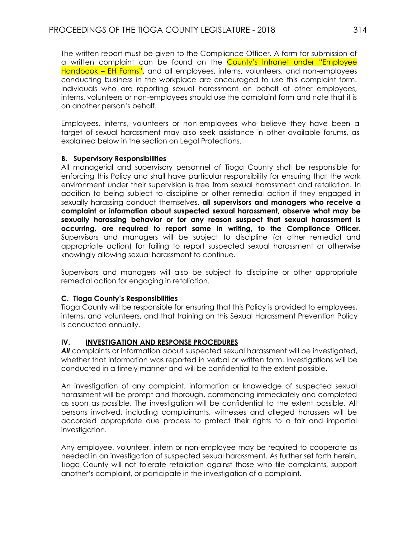The written report must be given to the Compliance Officer. A form for submission of a written complaint can be found on the County's Intranet under "Employee Handbook – EH Forms", and all employees, interns, volunteers, and non-employees conducting business in the workplace are encouraged to use this complaint form. Individuals who are reporting sexual harassment on behalf of other employees, interns, volunteers or non-employees should use the complaint form and note that it is on another person's behalf.

Employees, interns, volunteers or non-employees who believe they have been a target of sexual harassment may also seek assistance in other available forums, as explained below in the section on Legal Protections.

#### **B. Supervisory Responsibilities**

All managerial and supervisory personnel of Tioga County shall be responsible for enforcing this Policy and shall have particular responsibility for ensuring that the work environment under their supervision is free from sexual harassment and retaliation. In addition to being subject to discipline or other remedial action if they engaged in sexually harassing conduct themselves, **all supervisors and managers who receive a complaint or information about suspected sexual harassment, observe what may be sexually harassing behavior or for any reason suspect that sexual harassment is occurring, are required to report same in writing, to the Compliance Officer.**  Supervisors and managers will be subject to discipline (or other remedial and appropriate action) for failing to report suspected sexual harassment or otherwise knowingly allowing sexual harassment to continue.

Supervisors and managers will also be subject to discipline or other appropriate remedial action for engaging in retaliation.

## **C. Tioga County's Responsibilities**

Tioga County will be responsible for ensuring that this Policy is provided to employees, interns, and volunteers, and that training on this Sexual Harassment Prevention Policy is conducted annually.

#### **IV. INVESTIGATION AND RESPONSE PROCEDURES**

All complaints or information about suspected sexual harassment will be investigated, whether that information was reported in verbal or written form. Investigations will be conducted in a timely manner and will be confidential to the extent possible.

An investigation of any complaint, information or knowledge of suspected sexual harassment will be prompt and thorough, commencing immediately and completed as soon as possible. The investigation will be confidential to the extent possible. All persons involved, including complainants, witnesses and alleged harassers will be accorded appropriate due process to protect their rights to a fair and impartial investigation.

Any employee, volunteer, intern or non-employee may be required to cooperate as needed in an investigation of suspected sexual harassment. As further set forth herein, Tioga County will not tolerate retaliation against those who file complaints, support another's complaint, or participate in the investigation of a complaint.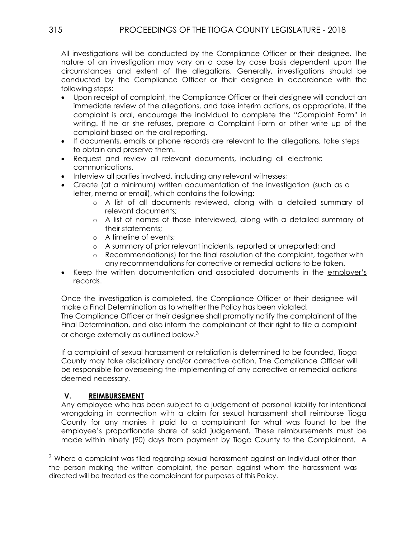All investigations will be conducted by the Compliance Officer or their designee. The nature of an investigation may vary on a case by case basis dependent upon the circumstances and extent of the allegations. Generally, investigations should be conducted by the Compliance Officer or their designee in accordance with the following steps:

- Upon receipt of complaint, the Compliance Officer or their designee will conduct an immediate review of the allegations, and take interim actions, as appropriate. If the complaint is oral, encourage the individual to complete the "Complaint Form" in writing. If he or she refuses, prepare a Complaint Form or other write up of the complaint based on the oral reporting.
- If documents, emails or phone records are relevant to the allegations, take steps to obtain and preserve them.
- Request and review all relevant documents, including all electronic communications.
- Interview all parties involved, including any relevant witnesses;
- Create (at a minimum) written documentation of the investigation (such as a letter, memo or email), which contains the following:
	- o A list of all documents reviewed, along with a detailed summary of relevant documents;
	- o A list of names of those interviewed, along with a detailed summary of their statements;
	- o A timeline of events;
	- o A summary of prior relevant incidents, reported or unreported; and
	- o Recommendation(s) for the final resolution of the complaint, together with any recommendations for corrective or remedial actions to be taken.
- Keep the written documentation and associated documents in the employer's records.

Once the investigation is completed, the Compliance Officer or their designee will make a Final Determination as to whether the Policy has been violated. The Compliance Officer or their designee shall promptly notify the complainant of the Final Determination, and also inform the complainant of their right to file a complaint or charge externally as outlined below.3

If a complaint of sexual harassment or retaliation is determined to be founded, Tioga County may take disciplinary and/or corrective action. The Compliance Officer will be responsible for overseeing the implementing of any corrective or remedial actions deemed necessary.

# **V. REIMBURSEMENT**

 $\overline{a}$ 

Any employee who has been subject to a judgement of personal liability for intentional wrongdoing in connection with a claim for sexual harassment shall reimburse Tioga County for any monies it paid to a complainant for what was found to be the employee's proportionate share of said judgement. These reimbursements must be made within ninety (90) days from payment by Tioga County to the Complainant. A

 $3$  Where a complaint was filed regarding sexual harassment against an individual other than the person making the written complaint, the person against whom the harassment was directed will be treated as the complainant for purposes of this Policy.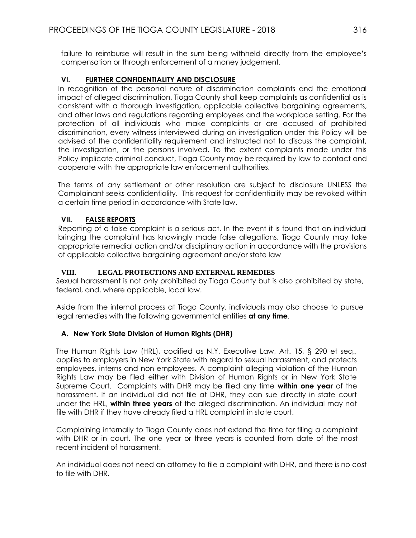failure to reimburse will result in the sum being withheld directly from the employee's compensation or through enforcement of a money judgement.

## **VI. FURTHER CONFIDENTIALITY AND DISCLOSURE**

In recognition of the personal nature of discrimination complaints and the emotional impact of alleged discrimination, Tioga County shall keep complaints as confidential as is consistent with a thorough investigation, applicable collective bargaining agreements, and other laws and regulations regarding employees and the workplace setting. For the protection of all individuals who make complaints or are accused of prohibited discrimination, every witness interviewed during an investigation under this Policy will be advised of the confidentiality requirement and instructed not to discuss the complaint, the investigation, or the persons involved. To the extent complaints made under this Policy implicate criminal conduct, Tioga County may be required by law to contact and cooperate with the appropriate law enforcement authorities.

The terms of any settlement or other resolution are subject to disclosure UNLESS the Complainant seeks confidentiality. This request for confidentiality may be revoked within a certain time period in accordance with State law.

## **VII. FALSE REPORTS**

Reporting of a false complaint is a serious act. In the event it is found that an individual bringing the complaint has knowingly made false allegations, Tioga County may take appropriate remedial action and/or disciplinary action in accordance with the provisions of applicable collective bargaining agreement and/or state law

#### **VIII. LEGAL PROTECTIONS AND EXTERNAL REMEDIES**

Sexual harassment is not only prohibited by Tioga County but is also prohibited by state, federal, and, where applicable, local law.

Aside from the internal process at Tioga County, individuals may also choose to pursue legal remedies with the following governmental entities **at any time**.

## **A. New York State Division of Human Rights (DHR)**

The Human Rights Law (HRL), codified as N.Y. Executive Law, Art. 15, § 290 et seq., applies to employers in New York State with regard to sexual harassment, and protects employees, interns and non-employees. A complaint alleging violation of the Human Rights Law may be filed either with Division of Human Rights or in New York State Supreme Court. Complaints with DHR may be filed any time **within one year** of the harassment. If an individual did not file at DHR, they can sue directly in state court under the HRL, **within three years** of the alleged discrimination. An individual may not file with DHR if they have already filed a HRL complaint in state court.

Complaining internally to Tioga County does not extend the time for filing a complaint with DHR or in court. The one year or three years is counted from date of the most recent incident of harassment.

An individual does not need an attorney to file a complaint with DHR, and there is no cost to file with DHR.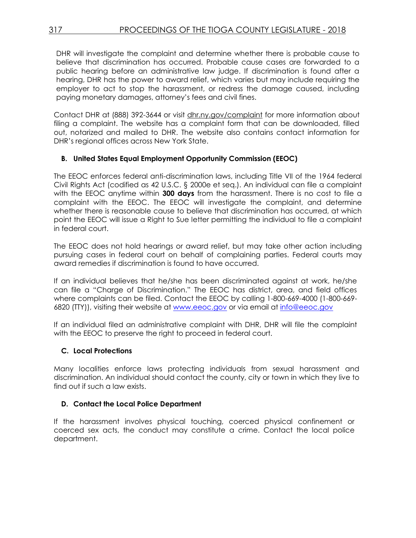DHR will investigate the complaint and determine whether there is probable cause to believe that discrimination has occurred. Probable cause cases are forwarded to a public hearing before an administrative law judge. If discrimination is found after a hearing, DHR has the power to award relief, which varies but may include requiring the employer to act to stop the harassment, or redress the damage caused, including paying monetary damages, attorney's fees and civil fines.

Contact DHR at (888) 392-3644 or visit **dhr.ny.gov/complaint** for more information about filing a complaint. The website has a complaint form that can be downloaded, filled out, notarized and mailed to DHR. The website also contains contact information for DHR's regional offices across New York State.

#### **B. United States Equal Employment Opportunity Commission (EEOC)**

The EEOC enforces federal anti-discrimination laws, including Title VII of the 1964 federal Civil Rights Act (codified as 42 U.S.C. § 2000e et seq.). An individual can file a complaint with the EEOC anytime within **300 days** from the harassment. There is no cost to file a complaint with the EEOC. The EEOC will investigate the complaint, and determine whether there is reasonable cause to believe that discrimination has occurred, at which point the EEOC will issue a Right to Sue letter permitting the individual to file a complaint in federal court.

The EEOC does not hold hearings or award relief, but may take other action including pursuing cases in federal court on behalf of complaining parties. Federal courts may award remedies if discrimination is found to have occurred.

If an individual believes that he/she has been discriminated against at work, he/she can file a "Charge of Discrimination." The EEOC has district, area, and field offices where complaints can be filed. Contact the EEOC by calling 1-800-669-4000 (1-800-669- 6820 (TTY)), visiting their website at [www.eeoc.gov](http://www.eeoc.gov/) or via email at [info@eeoc.gov](mailto:info@eeoc.gov)

If an individual filed an administrative complaint with DHR, DHR will file the complaint with the EEOC to preserve the right to proceed in federal court.

#### **C. Local Protections**

Many localities enforce laws protecting individuals from sexual harassment and discrimination. An individual should contact the county, city or town in which they live to find out if such a law exists.

#### **D. Contact the Local Police Department**

If the harassment involves physical touching, coerced physical confinement or coerced sex acts, the conduct may constitute a crime. Contact the local police department.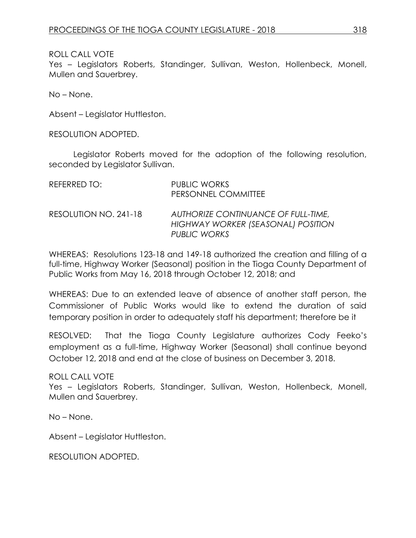Yes – Legislators Roberts, Standinger, Sullivan, Weston, Hollenbeck, Monell, Mullen and Sauerbrey.

No – None.

Absent – Legislator Huttleston.

RESOLUTION ADOPTED.

Legislator Roberts moved for the adoption of the following resolution, seconded by Legislator Sullivan.

| REFERRED TO:          | <b>PUBLIC WORKS</b><br>PERSONNEL COMMITTEE                                                |
|-----------------------|-------------------------------------------------------------------------------------------|
| RESOLUTION NO. 241-18 | AUTHORIZE CONTINUANCE OF FULL-TIME,<br>HIGHWAY WORKER (SEASONAL) POSITION<br>PUBLIC WORKS |

WHEREAS: Resolutions 123-18 and 149-18 authorized the creation and filling of a full-time, Highway Worker (Seasonal) position in the Tioga County Department of Public Works from May 16, 2018 through October 12, 2018; and

WHEREAS: Due to an extended leave of absence of another staff person, the Commissioner of Public Works would like to extend the duration of said temporary position in order to adequately staff his department; therefore be it

RESOLVED: That the Tioga County Legislature authorizes Cody Feeko's employment as a full-time, Highway Worker (Seasonal) shall continue beyond October 12, 2018 and end at the close of business on December 3, 2018.

ROLL CALL VOTE

Yes – Legislators Roberts, Standinger, Sullivan, Weston, Hollenbeck, Monell, Mullen and Sauerbrey.

No – None.

Absent – Legislator Huttleston.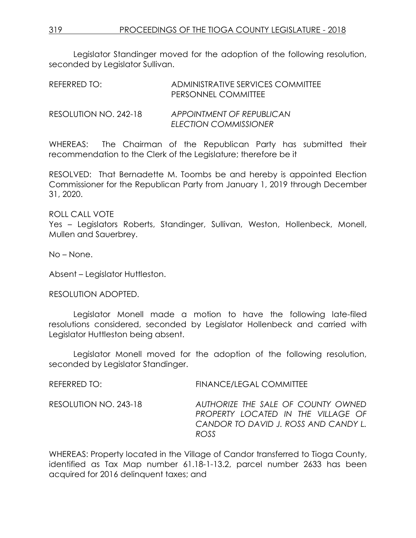Legislator Standinger moved for the adoption of the following resolution, seconded by Legislator Sullivan.

| REFERRED TO:          | ADMINISTRATIVE SERVICES COMMITTEE<br>PERSONNEL COMMITTEE |
|-----------------------|----------------------------------------------------------|
| RESOLUTION NO. 242-18 | APPOINTMENT OF REPUBLICAN<br>ELECTION COMMISSIONER       |

WHEREAS: The Chairman of the Republican Party has submitted their recommendation to the Clerk of the Legislature; therefore be it

RESOLVED: That Bernadette M. Toombs be and hereby is appointed Election Commissioner for the Republican Party from January 1, 2019 through December 31, 2020.

# ROLL CALL VOTE

Yes – Legislators Roberts, Standinger, Sullivan, Weston, Hollenbeck, Monell, Mullen and Sauerbrey.

No – None.

Absent – Legislator Huttleston.

RESOLUTION ADOPTED.

Legislator Monell made a motion to have the following late-filed resolutions considered, seconded by Legislator Hollenbeck and carried with Legislator Huttleston being absent.

Legislator Monell moved for the adoption of the following resolution, seconded by Legislator Standinger.

| REFERRED TO:          | FINANCE/LEGAL COMMITTEE                                                                                                  |
|-----------------------|--------------------------------------------------------------------------------------------------------------------------|
| RESOLUTION NO. 243-18 | AUTHORIZE THE SALE OF COUNTY OWNED<br>PROPERTY LOCATED IN THE VILLAGE OF<br>CANDOR TO DAVID J. ROSS AND CANDY L.<br>ROSS |

WHEREAS: Property located in the Village of Candor transferred to Tioga County, identified as Tax Map number 61.18-1-13.2, parcel number 2633 has been acquired for 2016 delinquent taxes; and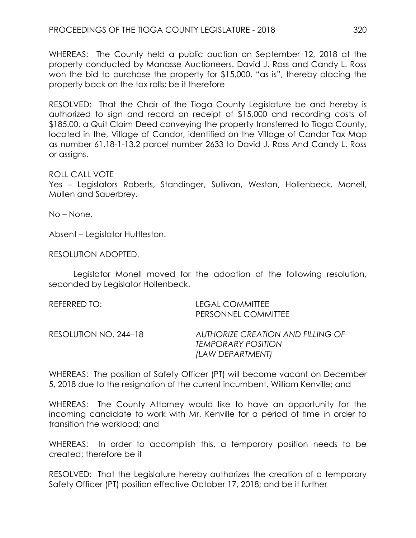WHEREAS: The County held a public auction on September 12, 2018 at the property conducted by Manasse Auctioneers. David J. Ross and Candy L. Ross won the bid to purchase the property for \$15,000, "as is", thereby placing the property back on the tax rolls; be it therefore

RESOLVED: That the Chair of the Tioga County Legislature be and hereby is authorized to sign and record on receipt of \$15,000 and recording costs of \$185.00, a Quit Claim Deed conveying the property transferred to Tioga County, located in the, Village of Candor, identified on the Village of Candor Tax Map as number 61.18-1-13.2 parcel number 2633 to David J. Ross And Candy L. Ross or assigns.

# ROLL CALL VOTE

Yes – Legislators Roberts, Standinger, Sullivan, Weston, Hollenbeck, Monell, Mullen and Sauerbrey.

No – None.

Absent – Legislator Huttleston.

RESOLUTION ADOPTED.

Legislator Monell moved for the adoption of the following resolution, seconded by Legislator Hollenbeck.

| REFERRED TO:          | <b>LEGAL COMMITTEE</b><br>PERSONNEL COMMITTEE                                      |
|-----------------------|------------------------------------------------------------------------------------|
| RESOLUTION NO. 244–18 | AUTHORIZE CREATION AND FILLING OF<br><b>TEMPORARY POSITION</b><br>(LAW DEPARTMENT) |

WHEREAS: The position of Safety Officer (PT) will become vacant on December 5, 2018 due to the resignation of the current incumbent, William Kenville; and

WHEREAS: The County Attorney would like to have an opportunity for the incoming candidate to work with Mr. Kenville for a period of time in order to transition the workload; and

WHEREAS: In order to accomplish this, a temporary position needs to be created; therefore be it

RESOLVED: That the Legislature hereby authorizes the creation of a temporary Safety Officer (PT) position effective October 17, 2018; and be it further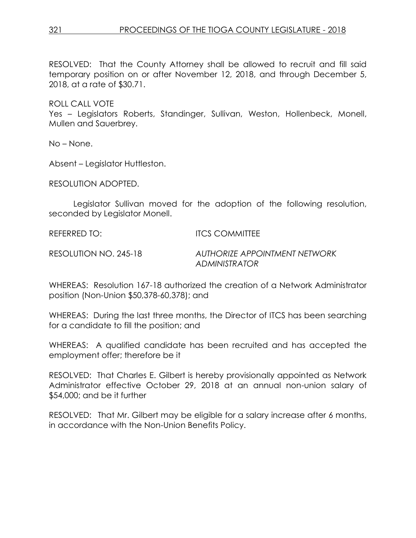RESOLVED: That the County Attorney shall be allowed to recruit and fill said temporary position on or after November 12, 2018, and through December 5, 2018, at a rate of \$30.71.

ROLL CALL VOTE Yes – Legislators Roberts, Standinger, Sullivan, Weston, Hollenbeck, Monell, Mullen and Sauerbrey.

No – None.

Absent – Legislator Huttleston.

RESOLUTION ADOPTED.

Legislator Sullivan moved for the adoption of the following resolution, seconded by Legislator Monell.

REFERRED TO: ITCS COMMITTEE

RESOLUTION NO. 245-18 *AUTHORIZE APPOINTMENT NETWORK ADMINISTRATOR*

WHEREAS: Resolution 167-18 authorized the creation of a Network Administrator position (Non-Union \$50,378-60,378); and

WHEREAS: During the last three months, the Director of ITCS has been searching for a candidate to fill the position; and

WHEREAS: A qualified candidate has been recruited and has accepted the employment offer; therefore be it

RESOLVED: That Charles E. Gilbert is hereby provisionally appointed as Network Administrator effective October 29, 2018 at an annual non-union salary of \$54,000; and be it further

RESOLVED: That Mr. Gilbert may be eligible for a salary increase after 6 months, in accordance with the Non-Union Benefits Policy.